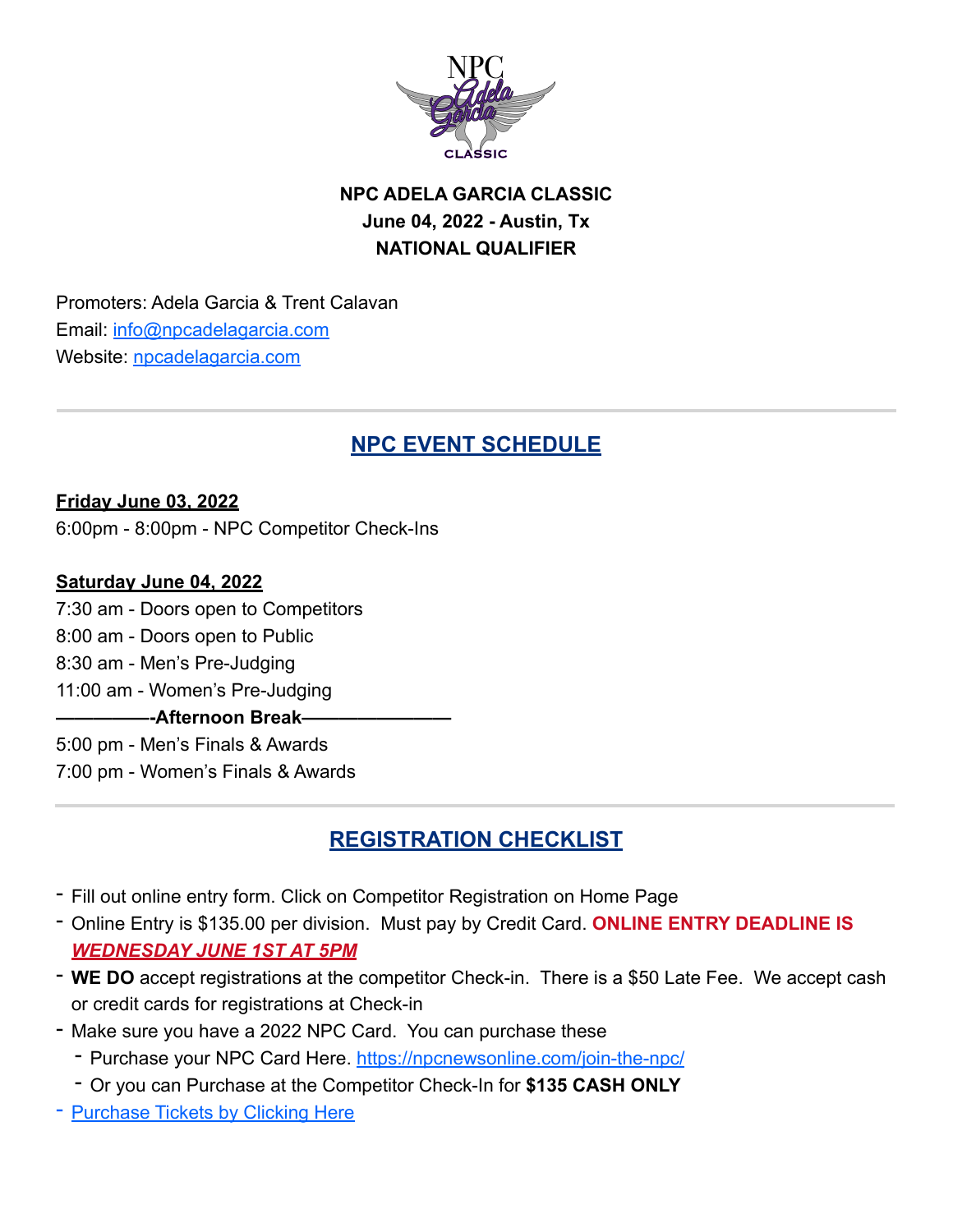

# **NPC ADELA GARCIA CLASSIC June 04, 2022 - Austin, Tx NATIONAL QUALIFIER**

Promoters: Adela Garcia & Trent Calavan Email: [info@npcadelagarcia.com](mailto:info@npcadelagarcia.com) Website: [npcadelagarcia.com](http://npcadelagarcia.com)

# **NPC EVENT SCHEDULE**

**Friday June 03, 2022** 6:00pm - 8:00pm - NPC Competitor Check-Ins

#### **Saturday June 04, 2022**

7:30 am - Doors open to Competitors 8:00 am - Doors open to Public 8:30 am - Men's Pre-Judging 11:00 am - Women's Pre-Judging **—————-Afternoon Break————————** 5:00 pm - Men's Finals & Awards 7:00 pm - Women's Finals & Awards

# **REGISTRATION CHECKLIST**

- Fill out online entry form. Click on Competitor Registration on Home Page
- Online Entry is \$135.00 per division. Must pay by Credit Card. **ONLINE ENTRY DEADLINE IS**  *WEDNESDAY JUNE 1ST AT 5PM*
- **WE DO** accept registrations at the competitor Check-in. There is a \$50 Late Fee. We accept cash or credit cards for registrations at Check-in
- Make sure you have a 2022 NPC Card. You can purchase these
	- Purchase your NPC Card Here.<https://npcnewsonline.com/join-the-npc/>
	- Or you can Purchase at the Competitor Check-In for **\$135 CASH ONLY**
- [Purchase Tickets by Clicking Here](https://www.eventbrite.com/e/2022-npc-adela-garcia-classic-tickets-198707027067)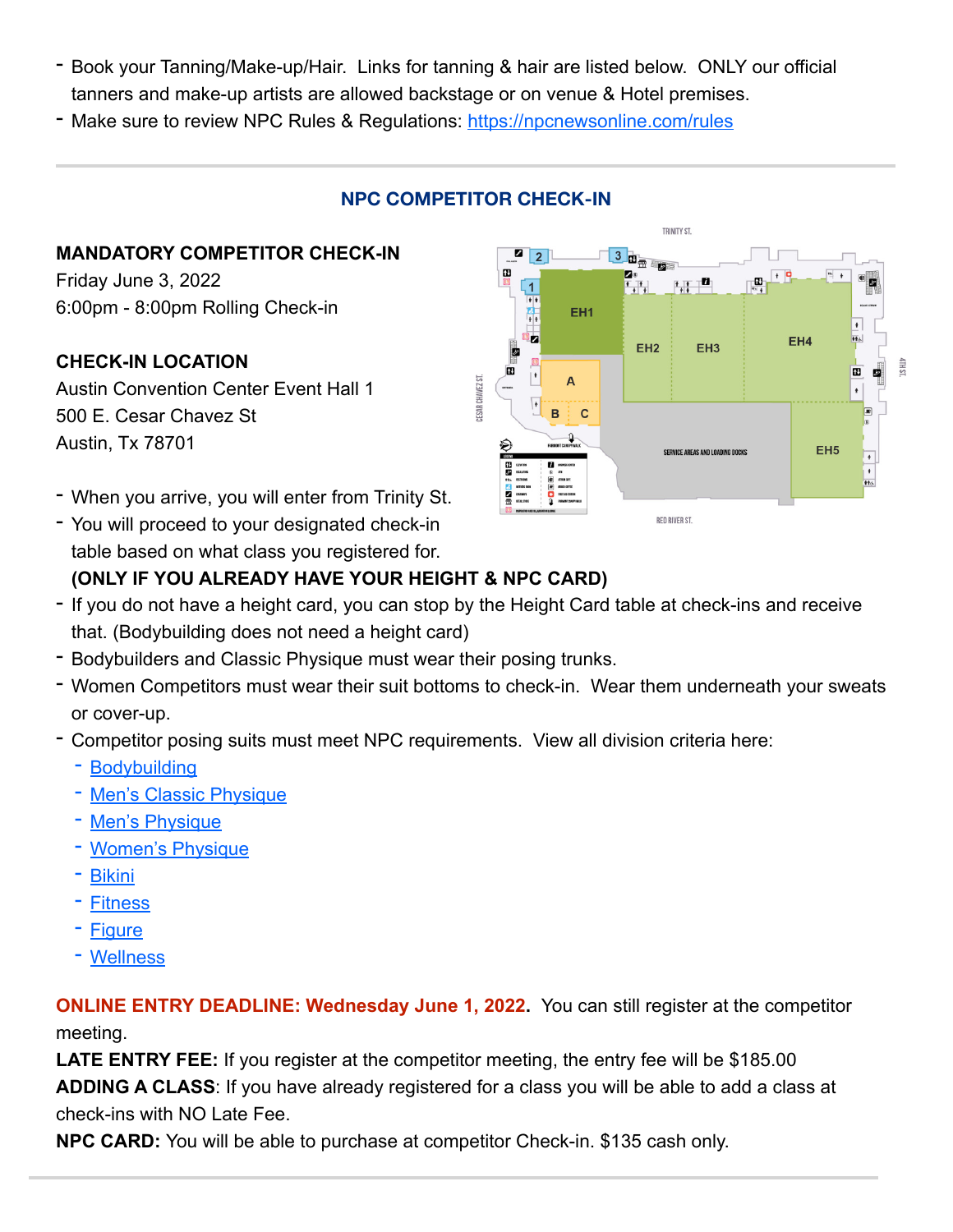- Book your Tanning/Make-up/Hair. Links for tanning & hair are listed below. ONLY our official tanners and make-up artists are allowed backstage or on venue & Hotel premises.
- Make sure to review NPC Rules & Regulations: <https://npcnewsonline.com/rules>

### **NPC COMPETITOR CHECK-IN**

#### **MANDATORY COMPETITOR CHECK-IN**

Friday June 3, 2022 6:00pm - 8:00pm Rolling Check-in

#### **CHECK-IN LOCATION**

Austin Convention Center Event Hall 1 500 E. Cesar Chavez St Austin, Tx 78701

- When you arrive, you will enter from Trinity St.
- You will proceed to your designated check-in table based on what class you registered for.



### **(ONLY IF YOU ALREADY HAVE YOUR HEIGHT & NPC CARD)**

- If you do not have a height card, you can stop by the Height Card table at check-ins and receive that. (Bodybuilding does not need a height card)
- Bodybuilders and Classic Physique must wear their posing trunks.
- Women Competitors must wear their suit bottoms to check-in. Wear them underneath your sweats or cover-up.
- Competitor posing suits must meet NPC requirements. View all division criteria here:
	- [Bodybuilding](http://npcnewsonline.com/official-bodybuilding-rules/)
	- [Men's Classic Physique](http://npcnewsonline.com/classic-physique/)
	- [Men's Physique](http://npcnewsonline.com/official-npc-mens-physique-division/)
	- [Women's Physique](http://npcnewsonline.com/official-npc-womens-physique-division/)
	- [Bikini](http://npcnewsonline.com/bikini-rules/)
	- [Fitness](http://npcnewsonline.com/official-npc-fitness-division-rules/)
	- [Figure](http://npcnewsonline.com/official-npc-figure-division-rules/)
	- [Wellness](http://npcnewsonline.com/wellness/)

**ONLINE ENTRY DEADLINE: Wednesday June 1, 2022.** You can still register at the competitor meeting.

**LATE ENTRY FEE:** If you register at the competitor meeting, the entry fee will be \$185.00 **ADDING A CLASS**: If you have already registered for a class you will be able to add a class at check-ins with NO Late Fee.

**NPC CARD:** You will be able to purchase at competitor Check-in. \$135 cash only.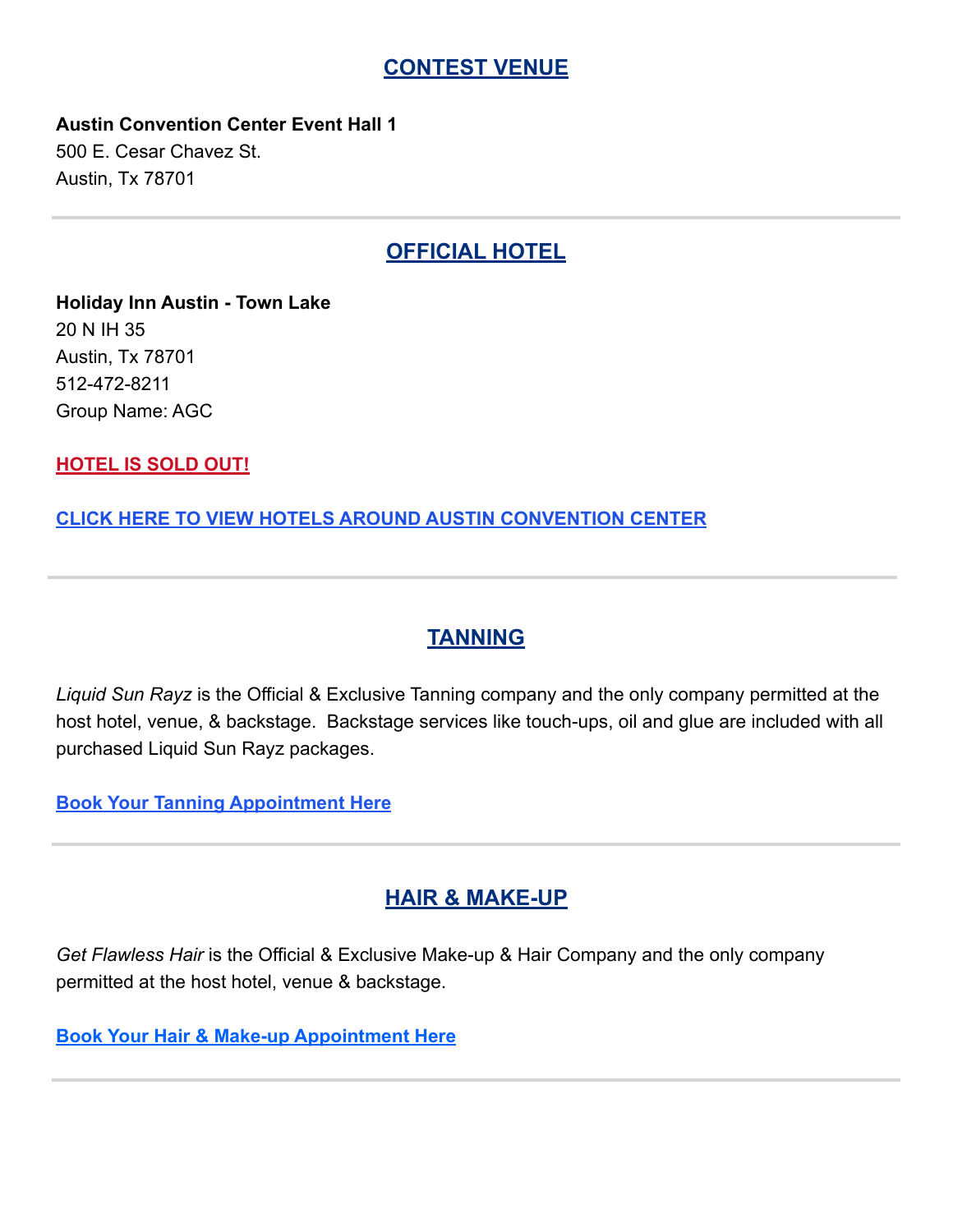#### **CONTEST VENUE**

**Austin Convention Center Event Hall 1** 500 E. Cesar Chavez St.

**OFFICIAL HOTEL**

**Holiday Inn Austin - Town Lake** 20 N IH 35 Austin, Tx 78701 512-472-8211 Group Name: AGC

**HOTEL IS SOLD OUT!**

Austin, Tx 78701

**[CLICK HERE TO VIEW HOTELS AROUND AUSTIN CONVENTION CENTER](https://www.google.com/maps/d/u/0/viewer?mid=1K9OywyOqLZkumDEzpOpuJXZ9cDg&hl=en&ll=30.265886639466412,-97.74915460773313&z=14)**

**TANNING**

*Liquid Sun Rayz* is the Official & Exclusive Tanning company and the only company permitted at the host hotel, venue, & backstage. Backstage services like touch-ups, oil and glue are included with all purchased Liquid Sun Rayz packages.

**[Book Your Tanning Appointment Here](https://liquidsunrayz.com/products/2022-adela-garcia-classicjune-4-austin-tx?_pos=1&_sid=d790f6d0d&_ss=r)**

### **HAIR & MAKE-UP**

*Get Flawless Hair* is the Official & Exclusive Make-up & Hair Company and the only company permitted at the host hotel, venue & backstage.

**[Book Your Hair & Make-up Appointment Here](https://www.getflawlesshair.com/shop?page=2)**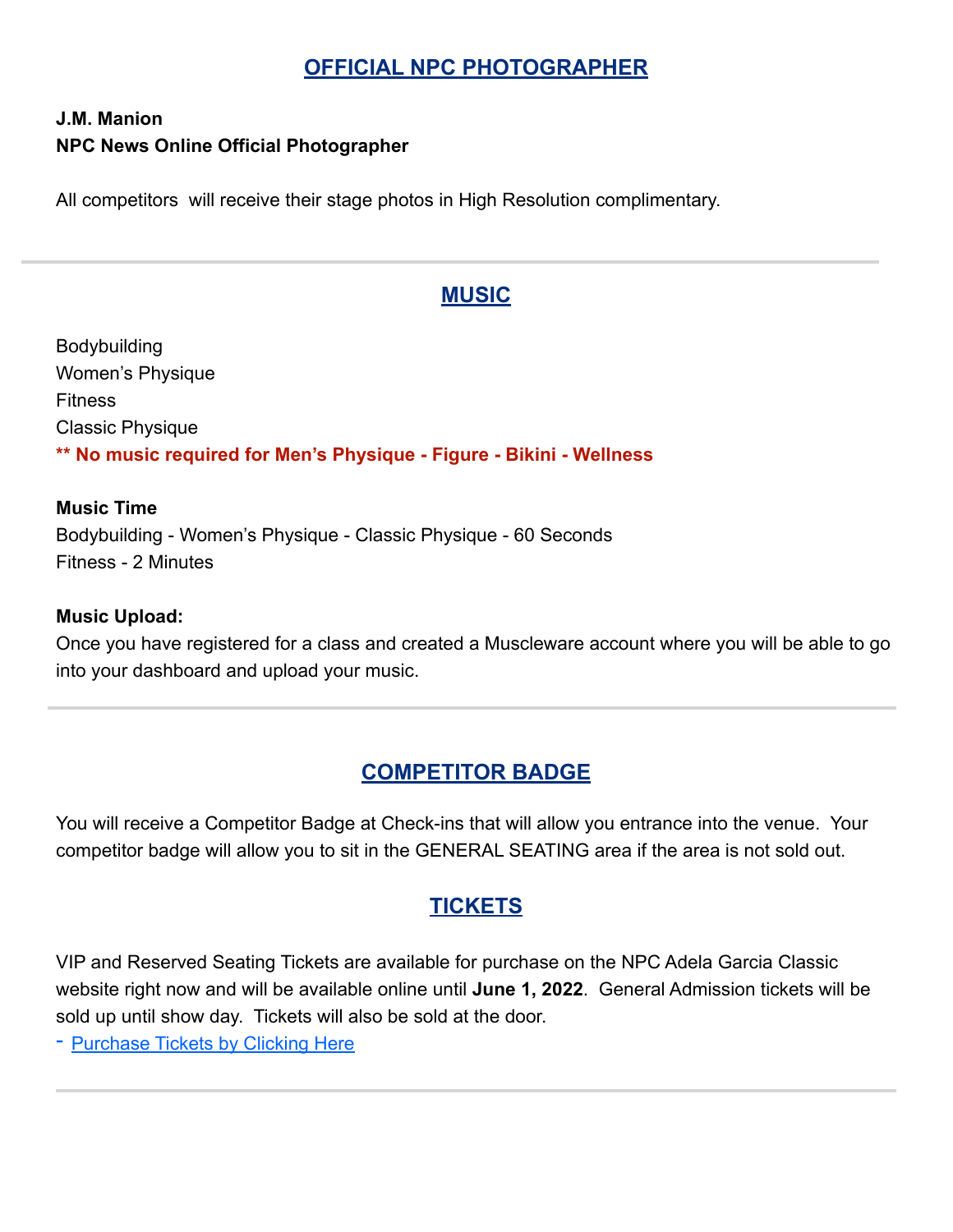## **OFFICIAL NPC PHOTOGRAPHER**

### **J.M. Manion NPC News Online Official Photographer**

All competitors will receive their stage photos in High Resolution complimentary.

### **MUSIC**

Bodybuilding Women's Physique Fitness Classic Physique **\*\* No music required for Men's Physique - Figure - Bikini - Wellness**

#### **Music Time**

Bodybuilding - Women's Physique - Classic Physique - 60 Seconds Fitness - 2 Minutes

#### **Music Upload:**

Once you have registered for a class and created a Muscleware account where you will be able to go into your dashboard and upload your music.

### **COMPETITOR BADGE**

You will receive a Competitor Badge at Check-ins that will allow you entrance into the venue. Your competitor badge will allow you to sit in the GENERAL SEATING area if the area is not sold out.

## **TICKETS**

VIP and Reserved Seating Tickets are available for purchase on the NPC Adela Garcia Classic website right now and will be available online until **June 1, 2022**. General Admission tickets will be sold up until show day. Tickets will also be sold at the door.

- [Purchase Tickets by Clicking Here](https://www.eventbrite.com/e/2022-npc-adela-garcia-classic-tickets-198707027067)